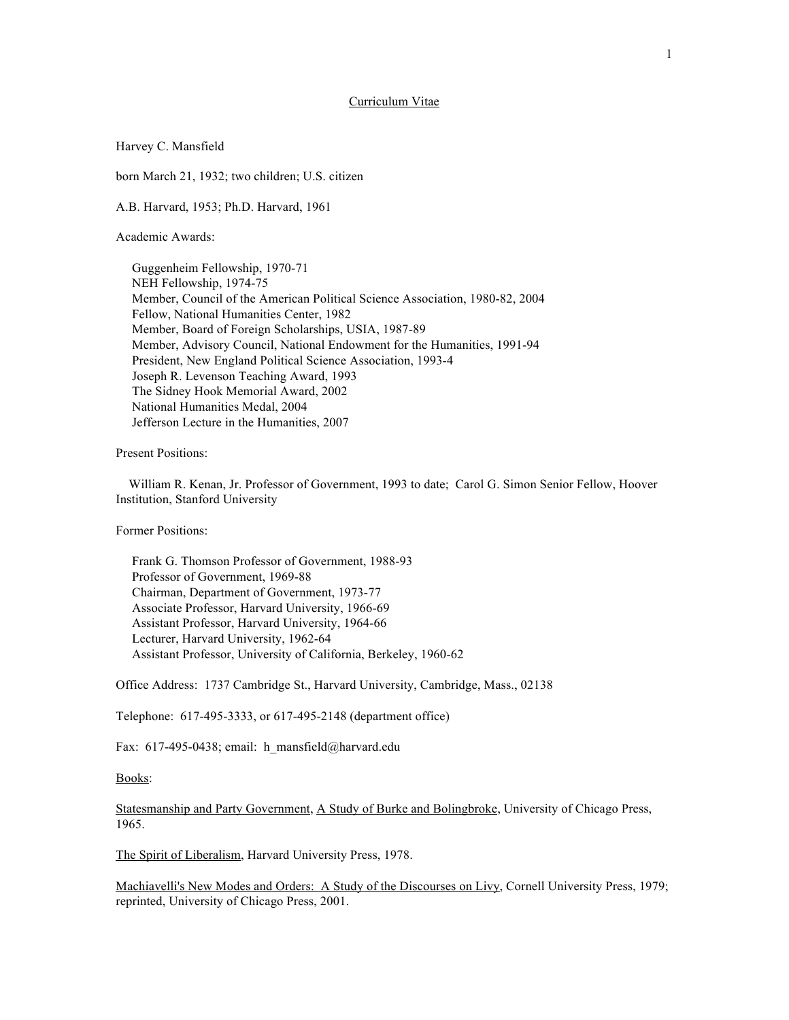## Curriculum Vitae

## Harvey C. Mansfield

born March 21, 1932; two children; U.S. citizen

A.B. Harvard, 1953; Ph.D. Harvard, 1961

Academic Awards:

 Guggenheim Fellowship, 1970-71 NEH Fellowship, 1974-75 Member, Council of the American Political Science Association, 1980-82, 2004 Fellow, National Humanities Center, 1982 Member, Board of Foreign Scholarships, USIA, 1987-89 Member, Advisory Council, National Endowment for the Humanities, 1991-94 President, New England Political Science Association, 1993-4 Joseph R. Levenson Teaching Award, 1993 The Sidney Hook Memorial Award, 2002 National Humanities Medal, 2004 Jefferson Lecture in the Humanities, 2007

Present Positions:

 William R. Kenan, Jr. Professor of Government, 1993 to date; Carol G. Simon Senior Fellow, Hoover Institution, Stanford University

Former Positions:

 Frank G. Thomson Professor of Government, 1988-93 Professor of Government, 1969-88 Chairman, Department of Government, 1973-77 Associate Professor, Harvard University, 1966-69 Assistant Professor, Harvard University, 1964-66 Lecturer, Harvard University, 1962-64 Assistant Professor, University of California, Berkeley, 1960-62

Office Address: 1737 Cambridge St., Harvard University, Cambridge, Mass., 02138

Telephone: 617-495-3333, or 617-495-2148 (department office)

Fax: 617-495-0438; email: h\_mansfield@harvard.edu

Books:

Statesmanship and Party Government, A Study of Burke and Bolingbroke, University of Chicago Press, 1965.

The Spirit of Liberalism, Harvard University Press, 1978.

Machiavelli's New Modes and Orders: A Study of the Discourses on Livy, Cornell University Press, 1979; reprinted, University of Chicago Press, 2001.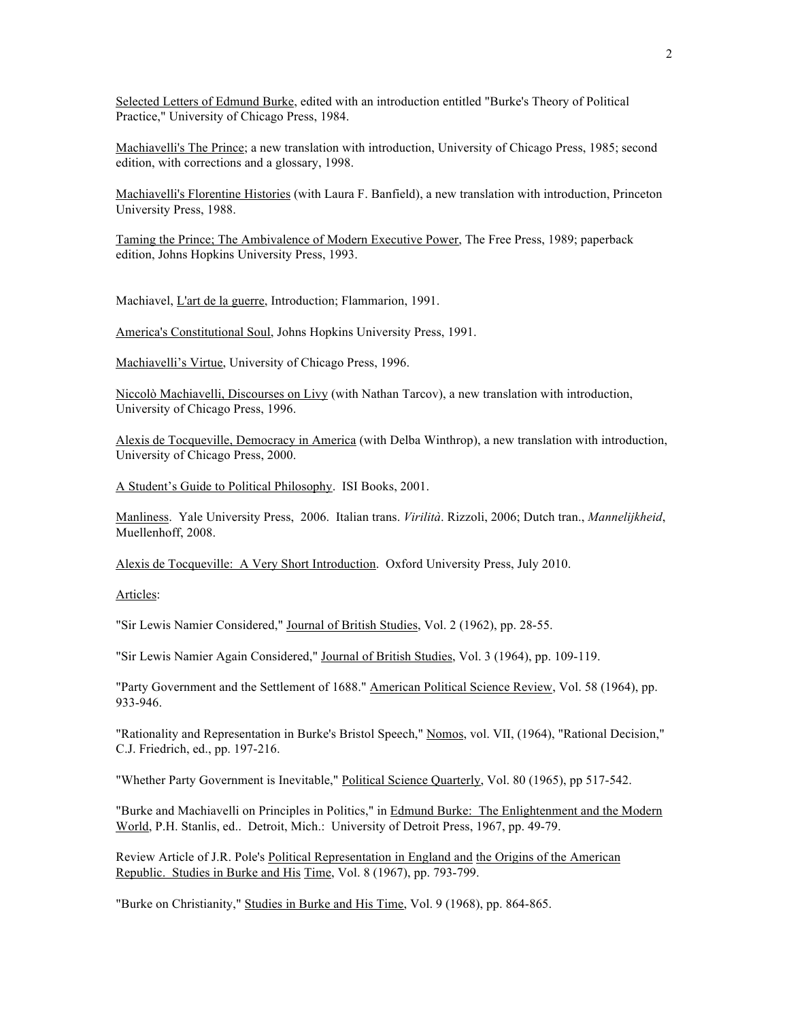Selected Letters of Edmund Burke, edited with an introduction entitled "Burke's Theory of Political Practice," University of Chicago Press, 1984.

Machiavelli's The Prince; a new translation with introduction, University of Chicago Press, 1985; second edition, with corrections and a glossary, 1998.

Machiavelli's Florentine Histories (with Laura F. Banfield), a new translation with introduction, Princeton University Press, 1988.

Taming the Prince; The Ambivalence of Modern Executive Power, The Free Press, 1989; paperback edition, Johns Hopkins University Press, 1993.

Machiavel, L'art de la guerre, Introduction; Flammarion, 1991.

America's Constitutional Soul, Johns Hopkins University Press, 1991.

Machiavelli's Virtue, University of Chicago Press, 1996.

Niccolò Machiavelli, Discourses on Livy (with Nathan Tarcov), a new translation with introduction, University of Chicago Press, 1996.

Alexis de Tocqueville, Democracy in America (with Delba Winthrop), a new translation with introduction, University of Chicago Press, 2000.

A Student's Guide to Political Philosophy. ISI Books, 2001.

Manliness. Yale University Press, 2006. Italian trans. *Virilità*. Rizzoli, 2006; Dutch tran., *Mannelijkheid*, Muellenhoff, 2008.

Alexis de Tocqueville: A Very Short Introduction. Oxford University Press, July 2010.

Articles:

"Sir Lewis Namier Considered," Journal of British Studies, Vol. 2 (1962), pp. 28-55.

"Sir Lewis Namier Again Considered," Journal of British Studies, Vol. 3 (1964), pp. 109-119.

"Party Government and the Settlement of 1688." American Political Science Review, Vol. 58 (1964), pp. 933-946.

"Rationality and Representation in Burke's Bristol Speech," Nomos, vol. VII, (1964), "Rational Decision," C.J. Friedrich, ed., pp. 197-216.

"Whether Party Government is Inevitable," Political Science Quarterly, Vol. 80 (1965), pp 517-542.

"Burke and Machiavelli on Principles in Politics," in Edmund Burke: The Enlightenment and the Modern World, P.H. Stanlis, ed.. Detroit, Mich.: University of Detroit Press, 1967, pp. 49-79.

Review Article of J.R. Pole's Political Representation in England and the Origins of the American Republic. Studies in Burke and His Time, Vol. 8 (1967), pp. 793-799.

"Burke on Christianity," Studies in Burke and His Time, Vol. 9 (1968), pp. 864-865.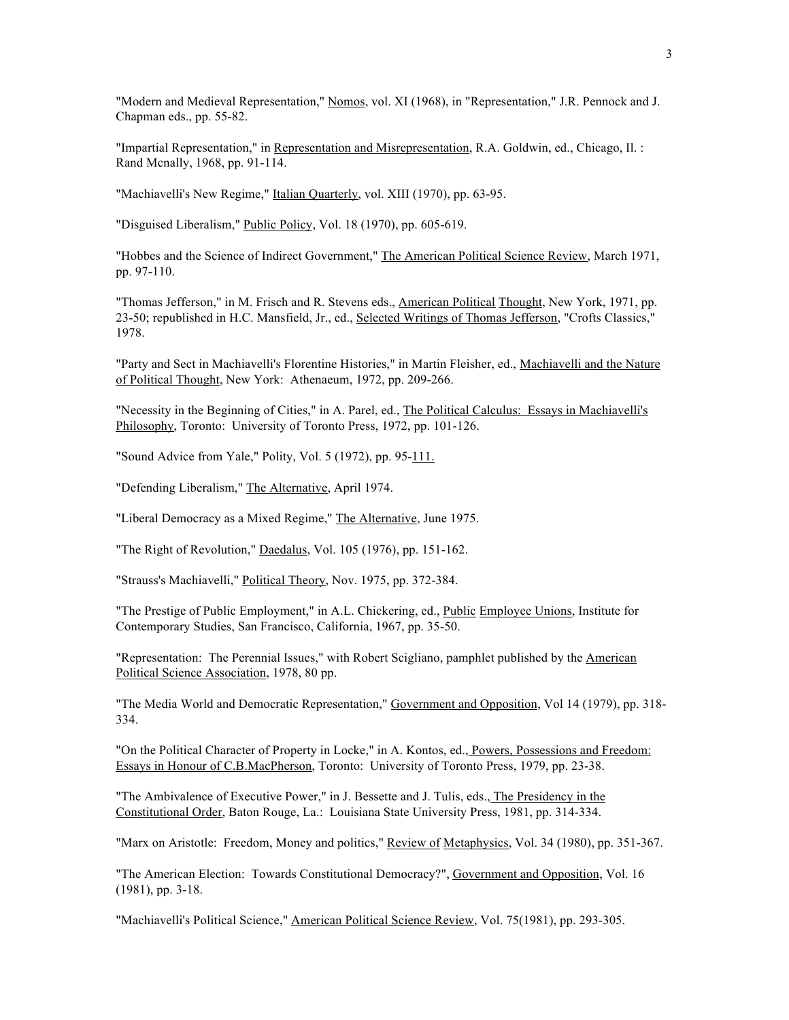"Modern and Medieval Representation," Nomos, vol. XI (1968), in "Representation," J.R. Pennock and J. Chapman eds., pp. 55-82.

"Impartial Representation," in Representation and Misrepresentation, R.A. Goldwin, ed., Chicago, Il. : Rand Mcnally, 1968, pp. 91-114.

"Machiavelli's New Regime," Italian Quarterly, vol. XIII (1970), pp. 63-95.

"Disguised Liberalism," Public Policy, Vol. 18 (1970), pp. 605-619.

"Hobbes and the Science of Indirect Government," The American Political Science Review, March 1971, pp. 97-110.

"Thomas Jefferson," in M. Frisch and R. Stevens eds., American Political Thought, New York, 1971, pp. 23-50; republished in H.C. Mansfield, Jr., ed., Selected Writings of Thomas Jefferson, "Crofts Classics," 1978.

"Party and Sect in Machiavelli's Florentine Histories," in Martin Fleisher, ed., Machiavelli and the Nature of Political Thought, New York: Athenaeum, 1972, pp. 209-266.

"Necessity in the Beginning of Cities," in A. Parel, ed., The Political Calculus: Essays in Machiavelli's Philosophy, Toronto: University of Toronto Press, 1972, pp. 101-126.

"Sound Advice from Yale," Polity, Vol. 5 (1972), pp. 95-111.

"Defending Liberalism," The Alternative, April 1974.

"Liberal Democracy as a Mixed Regime," The Alternative, June 1975.

"The Right of Revolution," Daedalus, Vol. 105 (1976), pp. 151-162.

"Strauss's Machiavelli," Political Theory, Nov. 1975, pp. 372-384.

"The Prestige of Public Employment," in A.L. Chickering, ed., Public Employee Unions, Institute for Contemporary Studies, San Francisco, California, 1967, pp. 35-50.

"Representation: The Perennial Issues," with Robert Scigliano, pamphlet published by the American Political Science Association, 1978, 80 pp.

"The Media World and Democratic Representation," Government and Opposition, Vol 14 (1979), pp. 318- 334.

"On the Political Character of Property in Locke," in A. Kontos, ed., Powers, Possessions and Freedom: Essays in Honour of C.B.MacPherson, Toronto: University of Toronto Press, 1979, pp. 23-38.

"The Ambivalence of Executive Power," in J. Bessette and J. Tulis, eds., The Presidency in the Constitutional Order, Baton Rouge, La.: Louisiana State University Press, 1981, pp. 314-334.

"Marx on Aristotle: Freedom, Money and politics," Review of Metaphysics, Vol. 34 (1980), pp. 351-367.

"The American Election: Towards Constitutional Democracy?", Government and Opposition, Vol. 16 (1981), pp. 3-18.

"Machiavelli's Political Science," American Political Science Review, Vol. 75(1981), pp. 293-305.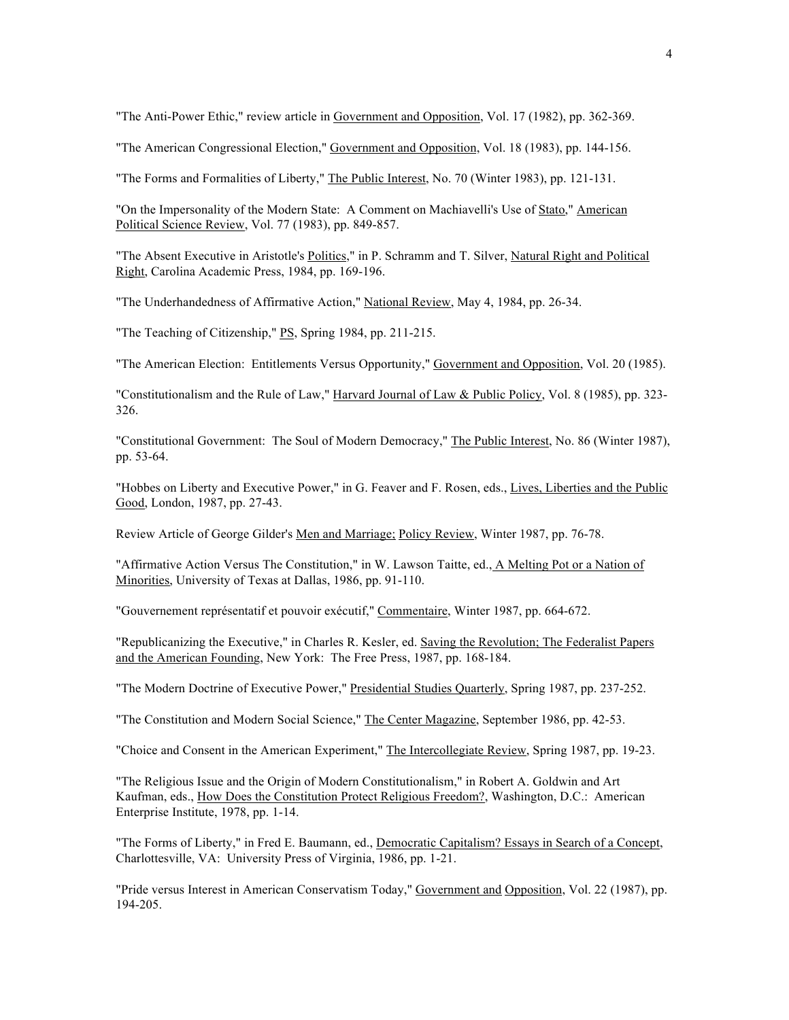"The Anti-Power Ethic," review article in Government and Opposition, Vol. 17 (1982), pp. 362-369.

"The American Congressional Election," Government and Opposition, Vol. 18 (1983), pp. 144-156.

"The Forms and Formalities of Liberty," The Public Interest, No. 70 (Winter 1983), pp. 121-131.

"On the Impersonality of the Modern State: A Comment on Machiavelli's Use of Stato," American Political Science Review, Vol. 77 (1983), pp. 849-857.

"The Absent Executive in Aristotle's Politics," in P. Schramm and T. Silver, Natural Right and Political Right, Carolina Academic Press, 1984, pp. 169-196.

"The Underhandedness of Affirmative Action," National Review, May 4, 1984, pp. 26-34.

"The Teaching of Citizenship," PS, Spring 1984, pp. 211-215.

"The American Election: Entitlements Versus Opportunity," Government and Opposition, Vol. 20 (1985).

"Constitutionalism and the Rule of Law," Harvard Journal of Law & Public Policy, Vol. 8 (1985), pp. 323-326.

"Constitutional Government: The Soul of Modern Democracy," The Public Interest, No. 86 (Winter 1987), pp. 53-64.

"Hobbes on Liberty and Executive Power," in G. Feaver and F. Rosen, eds., Lives, Liberties and the Public Good, London, 1987, pp. 27-43.

Review Article of George Gilder's Men and Marriage; Policy Review, Winter 1987, pp. 76-78.

"Affirmative Action Versus The Constitution," in W. Lawson Taitte, ed., A Melting Pot or a Nation of Minorities, University of Texas at Dallas, 1986, pp. 91-110.

"Gouvernement représentatif et pouvoir exécutif," Commentaire, Winter 1987, pp. 664-672.

"Republicanizing the Executive," in Charles R. Kesler, ed. Saving the Revolution; The Federalist Papers and the American Founding, New York: The Free Press, 1987, pp. 168-184.

"The Modern Doctrine of Executive Power," Presidential Studies Quarterly, Spring 1987, pp. 237-252.

"The Constitution and Modern Social Science," The Center Magazine, September 1986, pp. 42-53.

"Choice and Consent in the American Experiment," The Intercollegiate Review, Spring 1987, pp. 19-23.

"The Religious Issue and the Origin of Modern Constitutionalism," in Robert A. Goldwin and Art Kaufman, eds., How Does the Constitution Protect Religious Freedom?, Washington, D.C.: American Enterprise Institute, 1978, pp. 1-14.

"The Forms of Liberty," in Fred E. Baumann, ed., Democratic Capitalism? Essays in Search of a Concept, Charlottesville, VA: University Press of Virginia, 1986, pp. 1-21.

"Pride versus Interest in American Conservatism Today," Government and Opposition, Vol. 22 (1987), pp. 194-205.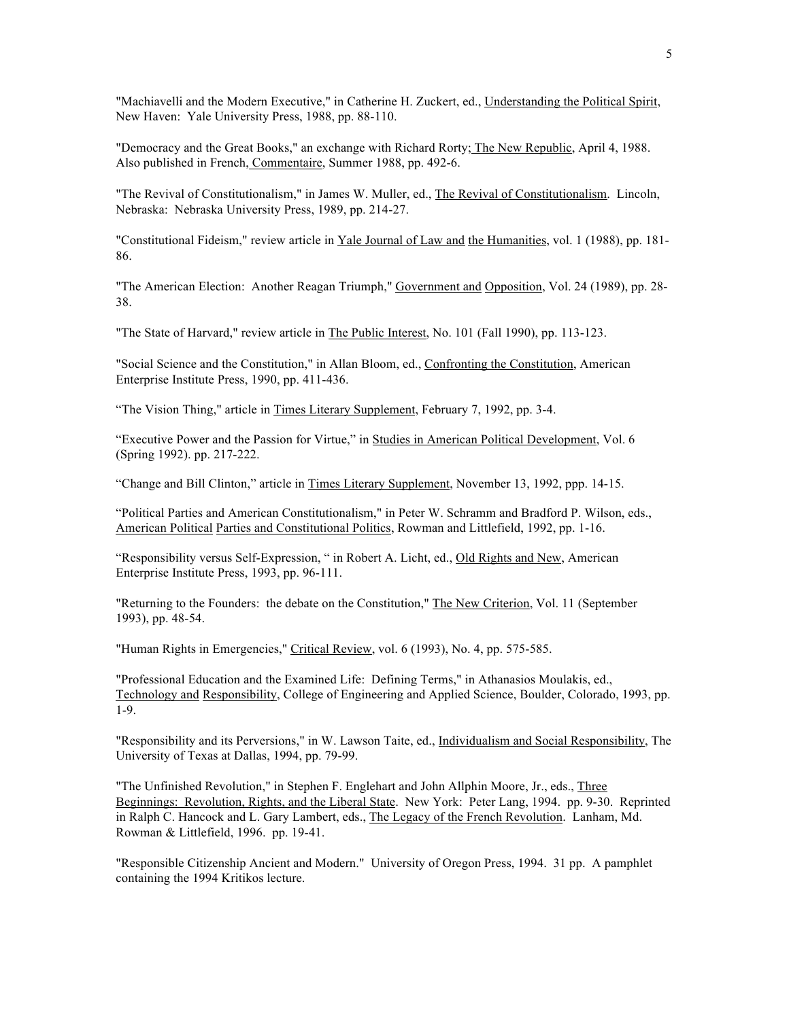"Machiavelli and the Modern Executive," in Catherine H. Zuckert, ed., Understanding the Political Spirit, New Haven: Yale University Press, 1988, pp. 88-110.

"Democracy and the Great Books," an exchange with Richard Rorty; The New Republic, April 4, 1988. Also published in French, Commentaire, Summer 1988, pp. 492-6.

"The Revival of Constitutionalism," in James W. Muller, ed., The Revival of Constitutionalism. Lincoln, Nebraska: Nebraska University Press, 1989, pp. 214-27.

"Constitutional Fideism," review article in Yale Journal of Law and the Humanities, vol. 1 (1988), pp. 181-86.

"The American Election: Another Reagan Triumph," Government and Opposition, Vol. 24 (1989), pp. 28- 38.

"The State of Harvard," review article in The Public Interest, No. 101 (Fall 1990), pp. 113-123.

"Social Science and the Constitution," in Allan Bloom, ed., Confronting the Constitution, American Enterprise Institute Press, 1990, pp. 411-436.

"The Vision Thing," article in Times Literary Supplement, February 7, 1992, pp. 3-4.

"Executive Power and the Passion for Virtue," in Studies in American Political Development, Vol. 6 (Spring 1992). pp. 217-222.

"Change and Bill Clinton," article in Times Literary Supplement, November 13, 1992, ppp. 14-15.

"Political Parties and American Constitutionalism," in Peter W. Schramm and Bradford P. Wilson, eds., American Political Parties and Constitutional Politics, Rowman and Littlefield, 1992, pp. 1-16.

"Responsibility versus Self-Expression, " in Robert A. Licht, ed., Old Rights and New, American Enterprise Institute Press, 1993, pp. 96-111.

"Returning to the Founders: the debate on the Constitution," The New Criterion, Vol. 11 (September 1993), pp. 48-54.

"Human Rights in Emergencies," Critical Review, vol. 6 (1993), No. 4, pp. 575-585.

"Professional Education and the Examined Life: Defining Terms," in Athanasios Moulakis, ed., Technology and Responsibility, College of Engineering and Applied Science, Boulder, Colorado, 1993, pp. 1-9.

"Responsibility and its Perversions," in W. Lawson Taite, ed., Individualism and Social Responsibility, The University of Texas at Dallas, 1994, pp. 79-99.

"The Unfinished Revolution," in Stephen F. Englehart and John Allphin Moore, Jr., eds., Three Beginnings: Revolution, Rights, and the Liberal State. New York: Peter Lang, 1994. pp. 9-30. Reprinted in Ralph C. Hancock and L. Gary Lambert, eds., The Legacy of the French Revolution. Lanham, Md. Rowman & Littlefield, 1996. pp. 19-41.

"Responsible Citizenship Ancient and Modern." University of Oregon Press, 1994. 31 pp. A pamphlet containing the 1994 Kritikos lecture.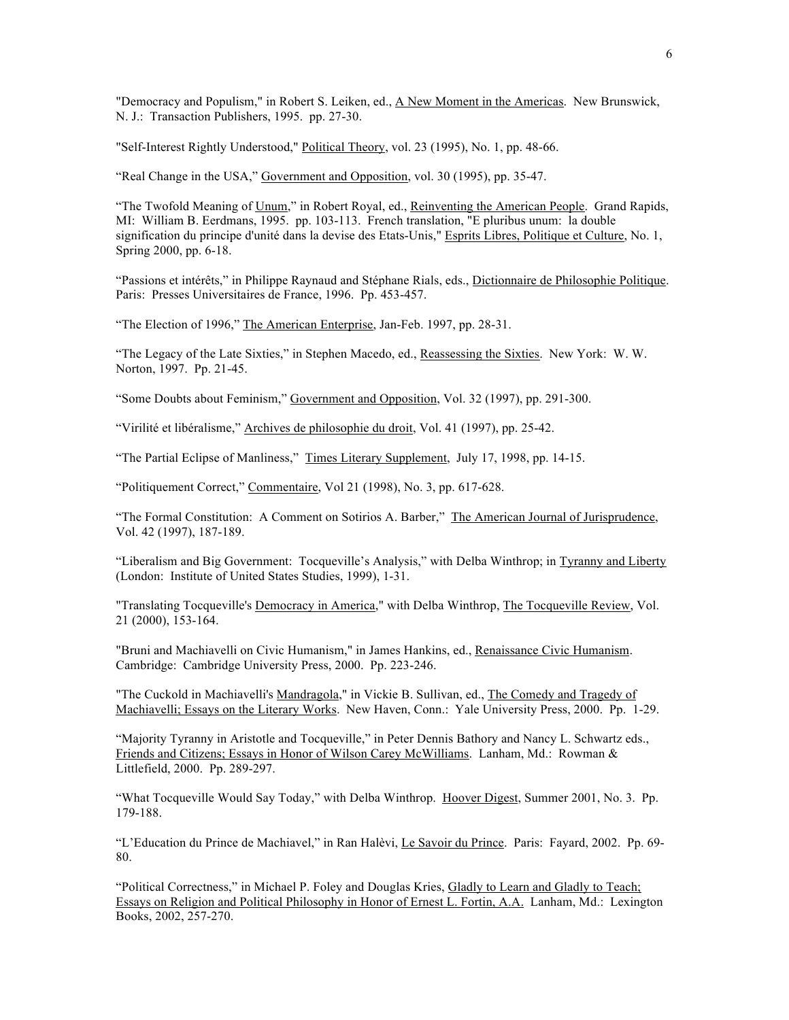"Democracy and Populism," in Robert S. Leiken, ed., A New Moment in the Americas. New Brunswick, N. J.: Transaction Publishers, 1995. pp. 27-30.

"Self-Interest Rightly Understood," Political Theory, vol. 23 (1995), No. 1, pp. 48-66.

"Real Change in the USA," Government and Opposition, vol. 30 (1995), pp. 35-47.

"The Twofold Meaning of Unum," in Robert Royal, ed., Reinventing the American People. Grand Rapids, MI: William B. Eerdmans, 1995. pp. 103-113. French translation, "E pluribus unum: la double signification du principe d'unité dans la devise des Etats-Unis," Esprits Libres, Politique et Culture, No. 1, Spring 2000, pp. 6-18.

"Passions et intérêts," in Philippe Raynaud and Stéphane Rials, eds., Dictionnaire de Philosophie Politique. Paris: Presses Universitaires de France, 1996. Pp. 453-457.

"The Election of 1996," The American Enterprise, Jan-Feb. 1997, pp. 28-31.

"The Legacy of the Late Sixties," in Stephen Macedo, ed., Reassessing the Sixties. New York: W. W. Norton, 1997. Pp. 21-45.

"Some Doubts about Feminism," Government and Opposition, Vol. 32 (1997), pp. 291-300.

"Virilité et libéralisme," Archives de philosophie du droit, Vol. 41 (1997), pp. 25-42.

"The Partial Eclipse of Manliness," Times Literary Supplement, July 17, 1998, pp. 14-15.

"Politiquement Correct," Commentaire, Vol 21 (1998), No. 3, pp. 617-628.

"The Formal Constitution: A Comment on Sotirios A. Barber," The American Journal of Jurisprudence, Vol. 42 (1997), 187-189.

"Liberalism and Big Government: Tocqueville's Analysis," with Delba Winthrop; in Tyranny and Liberty (London: Institute of United States Studies, 1999), 1-31.

"Translating Tocqueville's Democracy in America," with Delba Winthrop, The Tocqueville Review, Vol. 21 (2000), 153-164.

"Bruni and Machiavelli on Civic Humanism," in James Hankins, ed., Renaissance Civic Humanism. Cambridge: Cambridge University Press, 2000. Pp. 223-246.

"The Cuckold in Machiavelli's Mandragola," in Vickie B. Sullivan, ed., The Comedy and Tragedy of Machiavelli; Essays on the Literary Works. New Haven, Conn.: Yale University Press, 2000. Pp. 1-29.

"Majority Tyranny in Aristotle and Tocqueville," in Peter Dennis Bathory and Nancy L. Schwartz eds., Friends and Citizens; Essays in Honor of Wilson Carey McWilliams. Lanham, Md.: Rowman & Littlefield, 2000. Pp. 289-297.

"What Tocqueville Would Say Today," with Delba Winthrop. Hoover Digest, Summer 2001, No. 3. Pp. 179-188.

"L'Education du Prince de Machiavel," in Ran Halèvi, Le Savoir du Prince. Paris: Fayard, 2002. Pp. 69-80.

"Political Correctness," in Michael P. Foley and Douglas Kries, Gladly to Learn and Gladly to Teach; Essays on Religion and Political Philosophy in Honor of Ernest L. Fortin, A.A. Lanham, Md.: Lexington Books, 2002, 257-270.